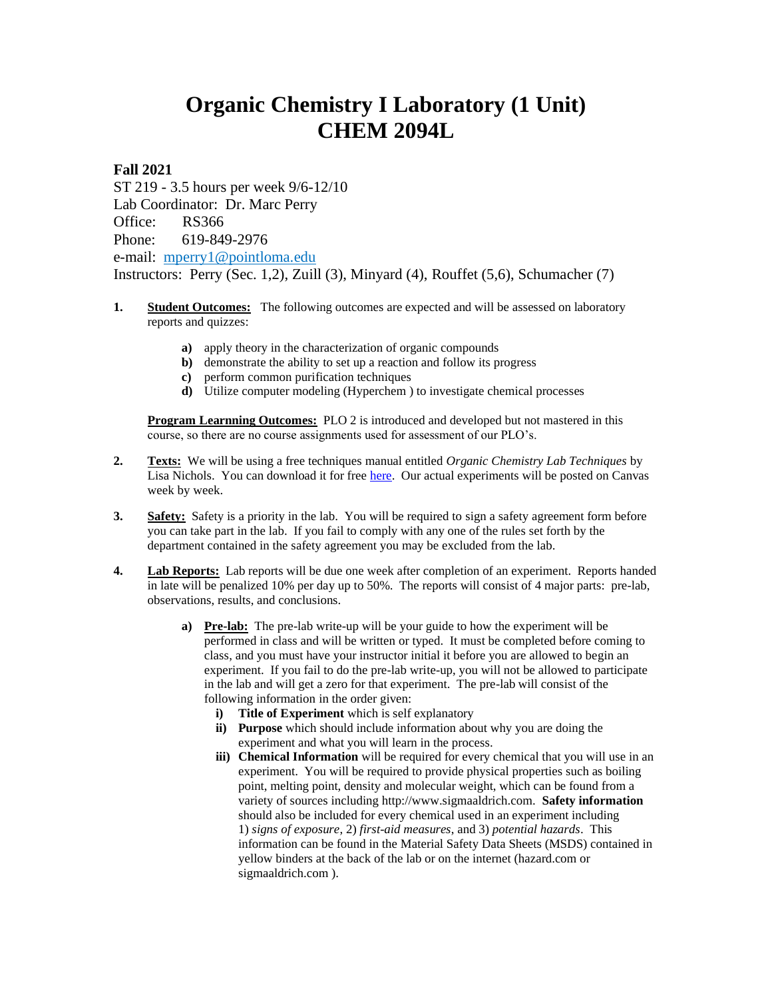## **Organic Chemistry I Laboratory (1 Unit) CHEM 2094L**

**Fall 2021**

ST 219 - 3.5 hours per week 9/6-12/10 Lab Coordinator: Dr. Marc Perry Office: RS366 Phone: 619-849-2976 e-mail: [mperry1@pointloma.edu](mailto:mperry1@pointloma.edu) Instructors: Perry (Sec. 1,2), Zuill (3), Minyard (4), Rouffet (5,6), Schumacher (7)

- **1. Student Outcomes:** The following outcomes are expected and will be assessed on laboratory reports and quizzes:
	- **a)** apply theory in the characterization of organic compounds
	- **b**) demonstrate the ability to set up a reaction and follow its progress
	- **c)** perform common purification techniques
	- **d)** Utilize computer modeling (Hyperchem ) to investigate chemical processes

**Program Learnning Outcomes:** PLO 2 is introduced and developed but not mastered in this course, so there are no course assignments used for assessment of our PLO's.

- **2. Texts:** We will be using a free techniques manual entitled *Organic Chemistry Lab Techniques* by Lisa Nichols. You can download it for free [here.](https://chem.libretexts.org/Bookshelves/Organic_Chemistry/Book%3A_Organic_Chemistry_Lab_Techniques_(Nichols)?fbclid=IwAR0ymLlTWVjFFSFfhGq3OEIIjroDvm94941DZkXFuId-MbRuAzMxdQFjwBo) Our actual experiments will be posted on Canvas week by week.
- **3. Safety:** Safety is a priority in the lab. You will be required to sign a safety agreement form before you can take part in the lab. If you fail to comply with any one of the rules set forth by the department contained in the safety agreement you may be excluded from the lab.
- **4. Lab Reports:** Lab reports will be due one week after completion of an experiment. Reports handed in late will be penalized 10% per day up to 50%. The reports will consist of 4 major parts: pre-lab, observations, results, and conclusions.
	- **a) Pre-lab:** The pre-lab write-up will be your guide to how the experiment will be performed in class and will be written or typed. It must be completed before coming to class, and you must have your instructor initial it before you are allowed to begin an experiment. If you fail to do the pre-lab write-up, you will not be allowed to participate in the lab and will get a zero for that experiment. The pre-lab will consist of the following information in the order given:
		- **i) Title of Experiment** which is self explanatory
		- **ii) Purpose** which should include information about why you are doing the experiment and what you will learn in the process.
		- **iii) Chemical Information** will be required for every chemical that you will use in an experiment. You will be required to provide physical properties such as boiling point, melting point, density and molecular weight, which can be found from a variety of sources including http://www.sigmaaldrich.com. **Safety information** should also be included for every chemical used in an experiment including 1) *signs of exposure*, 2) *first-aid measures*, and 3) *potential hazards*. This information can be found in the Material Safety Data Sheets (MSDS) contained in yellow binders at the back of the lab or on the internet (hazard.com or sigmaaldrich.com ).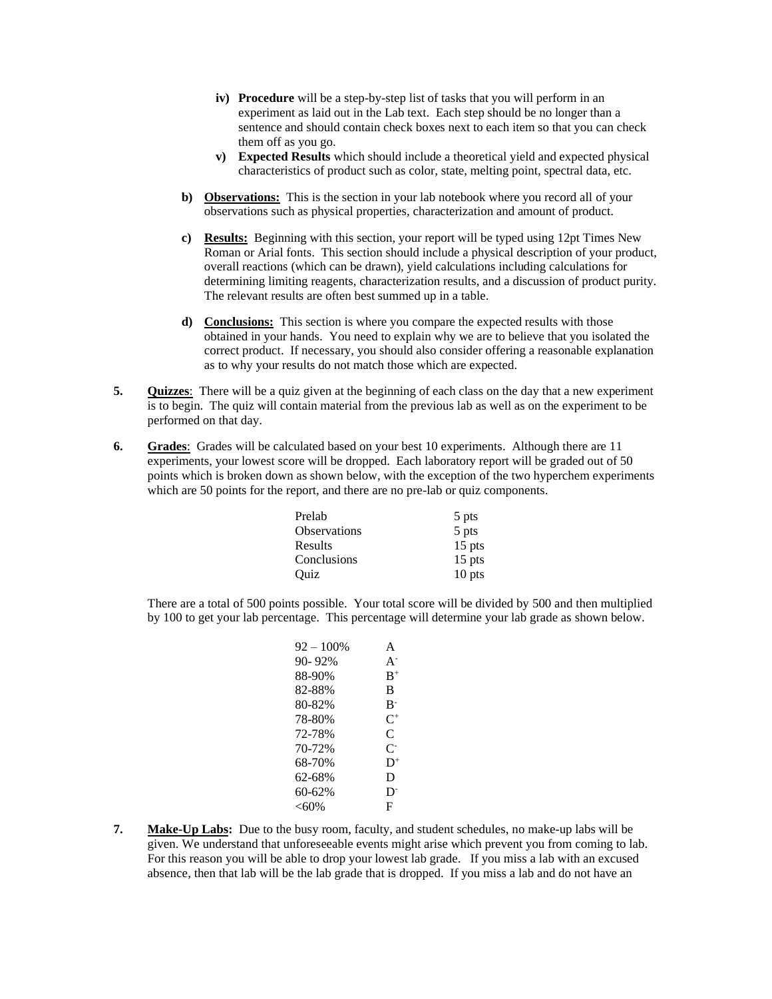- **iv) Procedure** will be a step-by-step list of tasks that you will perform in an experiment as laid out in the Lab text. Each step should be no longer than a sentence and should contain check boxes next to each item so that you can check them off as you go.
- **v) Expected Results** which should include a theoretical yield and expected physical characteristics of product such as color, state, melting point, spectral data, etc.
- **b) Observations:** This is the section in your lab notebook where you record all of your observations such as physical properties, characterization and amount of product.
- **c) Results:** Beginning with this section, your report will be typed using 12pt Times New Roman or Arial fonts. This section should include a physical description of your product, overall reactions (which can be drawn), yield calculations including calculations for determining limiting reagents, characterization results, and a discussion of product purity. The relevant results are often best summed up in a table.
- **d) Conclusions:** This section is where you compare the expected results with those obtained in your hands. You need to explain why we are to believe that you isolated the correct product. If necessary, you should also consider offering a reasonable explanation as to why your results do not match those which are expected.
- **5. Quizzes**: There will be a quiz given at the beginning of each class on the day that a new experiment is to begin. The quiz will contain material from the previous lab as well as on the experiment to be performed on that day.
- **6. Grades**:Grades will be calculated based on your best 10 experiments. Although there are 11 experiments, your lowest score will be dropped. Each laboratory report will be graded out of 50 points which is broken down as shown below, with the exception of the two hyperchem experiments which are 50 points for the report, and there are no pre-lab or quiz components.

| Prelab              | 5 pts    |
|---------------------|----------|
| <b>Observations</b> | 5 pts    |
| Results             | $15$ pts |
| Conclusions         | $15$ pts |
| Ouiz                | 10 pts   |

There are a total of 500 points possible. Your total score will be divided by 500 and then multiplied by 100 to get your lab percentage. This percentage will determine your lab grade as shown below.

| 92 – 100% | A              |
|-----------|----------------|
| 90-92%    | $A^{-}$        |
| 88-90%    | $R^+$          |
| 82-88%    | B              |
| 80-82%    | B-             |
| 78-80%    | $C^+$          |
| 72-78%    | C              |
| 70-72%    | C-             |
| 68-70%    | $D^+$          |
| 62-68%    | D              |
| 60-62%    | D <sup>-</sup> |
| <60%      | F              |
|           |                |

**7. Make-Up Labs:** Due to the busy room, faculty, and student schedules, no make-up labs will be given. We understand that unforeseeable events might arise which prevent you from coming to lab. For this reason you will be able to drop your lowest lab grade. If you miss a lab with an excused absence, then that lab will be the lab grade that is dropped. If you miss a lab and do not have an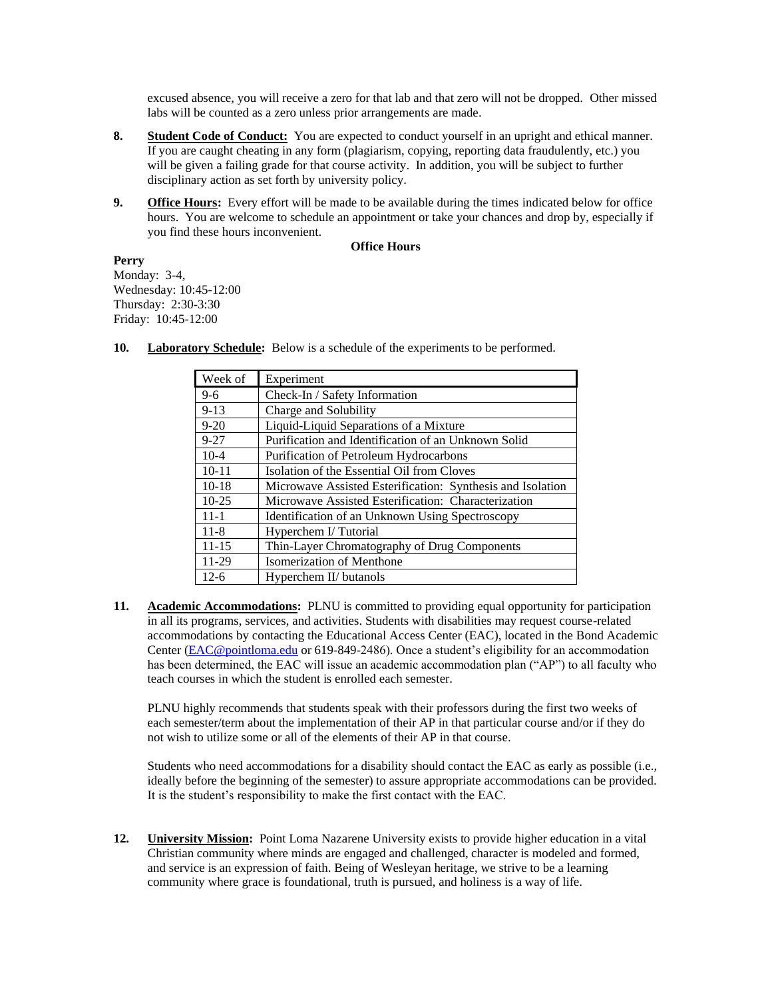excused absence, you will receive a zero for that lab and that zero will not be dropped. Other missed labs will be counted as a zero unless prior arrangements are made.

- **8. Student Code of Conduct:** You are expected to conduct yourself in an upright and ethical manner. If you are caught cheating in any form (plagiarism, copying, reporting data fraudulently, etc.) you will be given a failing grade for that course activity. In addition, you will be subject to further disciplinary action as set forth by university policy.
- **9. Office Hours:** Every effort will be made to be available during the times indicated below for office hours. You are welcome to schedule an appointment or take your chances and drop by, especially if you find these hours inconvenient.

## **Office Hours**

## **Perry**

Monday: 3-4, Wednesday: 10:45-12:00 Thursday: 2:30-3:30 Friday: 10:45-12:00

| Week of   | Experiment                                                 |
|-----------|------------------------------------------------------------|
| $9-6$     | Check-In / Safety Information                              |
| $9 - 13$  | Charge and Solubility                                      |
| $9 - 20$  | Liquid-Liquid Separations of a Mixture                     |
| $9 - 27$  | Purification and Identification of an Unknown Solid        |
| $10 - 4$  | Purification of Petroleum Hydrocarbons                     |
| $10 - 11$ | Isolation of the Essential Oil from Cloves                 |
| $10-18$   | Microwave Assisted Esterification: Synthesis and Isolation |
| $10-25$   | Microwave Assisted Esterification: Characterization        |
| $11 - 1$  | Identification of an Unknown Using Spectroscopy            |
| $11 - 8$  | Hyperchem I/Tutorial                                       |
| $11 - 15$ | Thin-Layer Chromatography of Drug Components               |
| 11-29     | Isomerization of Menthone                                  |
| $12-6$    | Hyperchem II/ butanols                                     |

**10. Laboratory Schedule:** Below is a schedule of the experiments to be performed.

**11. Academic Accommodations:** PLNU is committed to providing equal opportunity for participation in all its programs, services, and activities. Students with disabilities may request course-related accommodations by contacting the Educational Access Center (EAC), located in the Bond Academic Center [\(EAC@pointloma.edu](mailto:EAC@pointloma.edu) or 619-849-2486). Once a student's eligibility for an accommodation has been determined, the EAC will issue an academic accommodation plan ("AP") to all faculty who teach courses in which the student is enrolled each semester.

PLNU highly recommends that students speak with their professors during the first two weeks of each semester/term about the implementation of their AP in that particular course and/or if they do not wish to utilize some or all of the elements of their AP in that course.

Students who need accommodations for a disability should contact the EAC as early as possible (i.e., ideally before the beginning of the semester) to assure appropriate accommodations can be provided. It is the student's responsibility to make the first contact with the EAC.

**12. University Mission:** Point Loma Nazarene University exists to provide higher education in a vital Christian community where minds are engaged and challenged, character is modeled and formed, and service is an expression of faith. Being of Wesleyan heritage, we strive to be a learning community where grace is foundational, truth is pursued, and holiness is a way of life.